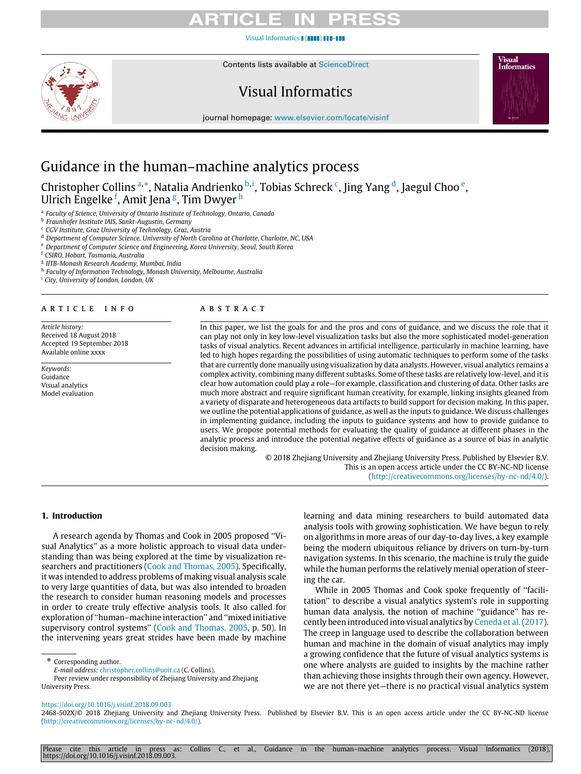Visual Informatics  $\blacksquare$  (IIII) III-



Contents lists available at ScienceDirect

# Visual Informatics



journal homepage: www.elsevier.com/locate/visinf

# Guidance in the human–machine analytics process

Christopher Collins <sup>a,\*</sup>, Natalia Andrienko <sup>b,i</sup>, Tobias Schreck <sup>c</sup>, Jing Yang <sup>d</sup>, Jaegul Choo <sup>e</sup>, Ulrich Engelke <sup>f</sup>, Amit Jena <sup>g</sup>, Tim Dwyer <sup>h</sup>

a *Faculty of Science, University of Ontario Institute of Technology, Ontario, Canada*

b *Fraunhofer Institute IAIS, Sankt-Augustin, Germany*

<sup>c</sup> *CGV Institute, Graz University of Technology, Graz, Austria*

<sup>d</sup> *Department of Computer Science, University of North Carolina at Charlotte, Charlotte, NC, USA*

<sup>e</sup> *Department of Computer Science and Engineering, Korea University, Seoul, South Korea*

<sup>f</sup> *CSIRO, Hobart, Tasmania, Australia*

g *IITB-Monash Research Academy, Mumbai, India*

h *Faculty of Information Technology, Monash University, Melbourne, Australia*

<sup>i</sup> *City, University of London, London, UK*

# a r t i c l e i n f o

*Article history:* Received 18 August 2018 Accepted 19 September 2018 Available online xxxx

*Keywords:* Guidance Visual analytics Model evaluation

### a b s t r a c t

In this paper, we list the goals for and the pros and cons of guidance, and we discuss the role that it can play not only in key low-level visualization tasks but also the more sophisticated model-generation tasks of visual analytics. Recent advances in artificial intelligence, particularly in machine learning, have led to high hopes regarding the possibilities of using automatic techniques to perform some of the tasks that are currently done manually using visualization by data analysts. However, visual analytics remains a complex activity, combining many different subtasks. Some of these tasks are relatively low-level, and it is clear how automation could play a role—for example, classification and clustering of data. Other tasks are much more abstract and require significant human creativity, for example, linking insights gleaned from a variety of disparate and heterogeneous data artifacts to build support for decision making. In this paper, we outline the potential applications of guidance, as well as the inputs to guidance. We discuss challenges in implementing guidance, including the inputs to guidance systems and how to provide guidance to users. We propose potential methods for evaluating the quality of guidance at different phases in the analytic process and introduce the potential negative effects of guidance as a source of bias in analytic decision making.

© 2018 Zhejiang University and Zhejiang University Press. Published by Elsevier B.V. This is an open access article under the CC BY-NC-ND license (http://creativecommons.org/licenses/by-nc-nd/4.0/).

# **1. Introduction**

A research agenda by Thomas and Cook in 2005 proposed ''Visual Analytics'' as a more holistic approach to visual data understanding than was being explored at the time by visualization researchers and practitioners (Cook and Thomas, 2005). Specifically, it was intended to address problems of making visual analysis scale to very large quantities of data, but was also intended to broaden the research to consider human reasoning models and processes in order to create truly effective analysis tools. It also called for exploration of ''human–machine interaction'' and ''mixed initiative supervisory control systems'' (Cook and Thomas, 2005, p. 50). In the intervening years great strides have been made by machine

\* Corresponding author.

learning and data mining researchers to build automated data analysis tools with growing sophistication. We have begun to rely on algorithms in more areas of our day-to-day lives, a key example being the modern ubiquitous reliance by drivers on turn-by-turn navigation systems. In this scenario, the machine is truly the guide while the human performs the relatively menial operation of steering the car.

While in 2005 Thomas and Cook spoke frequently of ''facilitation'' to describe a visual analytics system's role in supporting human data analysis, the notion of machine "guidance" has recently been introduced into visual analytics by Ceneda et al.(2017). The creep in language used to describe the collaboration between human and machine in the domain of visual analytics may imply a growing confidence that the future of visual analytics systems is one where analysts are guided to insights by the machine rather than achieving those insights through their own agency. However, we are not there yet—there is no practical visual analytics system

https://doi.org/10.1016/j.visinf.2018.09.003

2468-502X/© 2018 Zhejiang University and Zhejiang University Press. Published by Elsevier B.V. This is an open access article under the CC BY-NC-ND license (http://creativecommons.org/licenses/by-nc-nd/4.0/).

Please cite this article in press as: Collins C., et al., Guidance in the human-machine analytics process. Visual Informatics (2018), https://doi.org/10.1016/j.visinf.2018.09.003.

*E-mail address:* christopher.collins@uoit.ca (C. Collins).

Peer review under responsibility of Zhejiang University and Zhejiang University Press.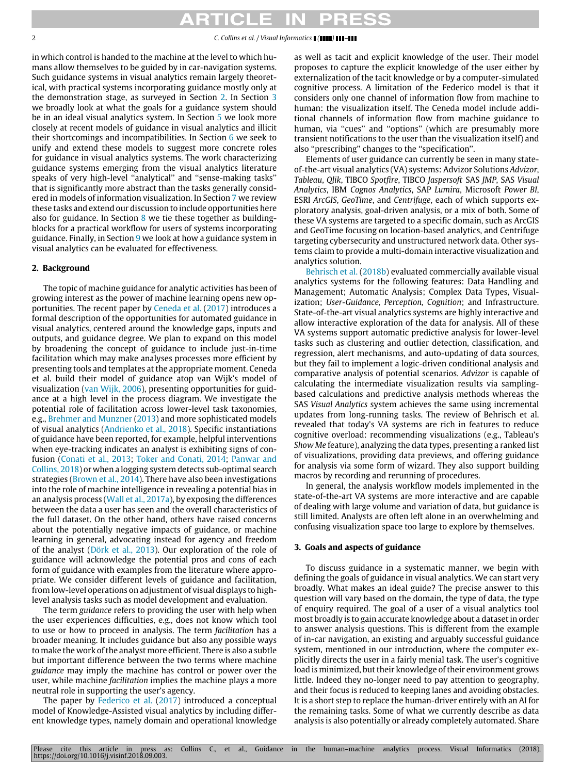in which control is handed to the machine at the level to which humans allow themselves to be guided by in car-navigation systems. Such guidance systems in visual analytics remain largely theoretical, with practical systems incorporating guidance mostly only at the demonstration stage, as surveyed in Section 2. In Section 3 we broadly look at what the goals for a guidance system should be in an ideal visual analytics system. In Section 5 we look more closely at recent models of guidance in visual analytics and illicit their shortcomings and incompatibilities. In Section 6 we seek to unify and extend these models to suggest more concrete roles for guidance in visual analytics systems. The work characterizing guidance systems emerging from the visual analytics literature speaks of very high-level ''analytical'' and ''sense-making tasks'' that is significantly more abstract than the tasks generally considered in models of information visualization. In Section 7 we review these tasks and extend our discussion to include opportunities here also for guidance. In Section 8 we tie these together as buildingblocks for a practical workflow for users of systems incorporating guidance. Finally, in Section 9 we look at how a guidance system in visual analytics can be evaluated for effectiveness.

# **2. Background**

The topic of machine guidance for analytic activities has been of growing interest as the power of machine learning opens new opportunities. The recent paper by Ceneda et al. (2017) introduces a formal description of the opportunities for automated guidance in visual analytics, centered around the knowledge gaps, inputs and outputs, and guidance degree. We plan to expand on this model by broadening the concept of guidance to include just-in-time facilitation which may make analyses processes more efficient by presenting tools and templates at the appropriate moment. Ceneda et al. build their model of guidance atop van Wijk's model of visualization (van Wijk, 2006), presenting opportunities for guidance at a high level in the process diagram. We investigate the potential role of facilitation across lower-level task taxonomies, e.g., Brehmer and Munzner (2013) and more sophisticated models of visual analytics (Andrienko et al., 2018). Specific instantiations of guidance have been reported, for example, helpful interventions when eye-tracking indicates an analyst is exhibiting signs of confusion (Conati et al., 2013; Toker and Conati, 2014; Panwar and Collins, 2018) or when a logging system detects sub-optimal search strategies (Brown et al., 2014). There have also been investigations into the role of machine intelligence in revealing a potential bias in an analysis process (Wall et al., 2017a), by exposing the differences between the data a user has seen and the overall characteristics of the full dataset. On the other hand, others have raised concerns about the potentially negative impacts of guidance, or machine learning in general, advocating instead for agency and freedom of the analyst (Dörk et al., 2013). Our exploration of the role of guidance will acknowledge the potential pros and cons of each form of guidance with examples from the literature where appropriate. We consider different levels of guidance and facilitation, from low-level operations on adjustment of visual displays to highlevel analysis tasks such as model development and evaluation.

The term *guidance* refers to providing the user with help when the user experiences difficulties, e.g., does not know which tool to use or how to proceed in analysis. The term *facilitation* has a broader meaning. It includes guidance but also any possible ways to make the work of the analyst more efficient. There is also a subtle but important difference between the two terms where machine *guidance* may imply the machine has control or power over the user, while machine *facilitation* implies the machine plays a more neutral role in supporting the user's agency.

The paper by Federico et al. (2017) introduced a conceptual model of Knowledge-Assisted visual analytics by including different knowledge types, namely domain and operational knowledge as well as tacit and explicit knowledge of the user. Their model proposes to capture the explicit knowledge of the user either by externalization of the tacit knowledge or by a computer-simulated cognitive process. A limitation of the Federico model is that it considers only one channel of information flow from machine to human: the visualization itself. The Ceneda model include additional channels of information flow from machine guidance to human, via "cues" and "options" (which are presumably more transient notifications to the user than the visualization itself) and also ''prescribing'' changes to the ''specification''.

Elements of user guidance can currently be seen in many stateof-the-art visual analytics (VA) systems: Advizor Solutions *Advizor*, *Tableau*, *Qlik*, TIBCO *Spotfire*, TIBCO *Jaspersoft* SAS *JMP*, SAS *Visual Analytics*, IBM *Cognos Analytics*, SAP *Lumira*, Microsoft *Power BI*, ESRI *ArcGIS*, *GeoTime*, and *Centrifuge*, each of which supports exploratory analysis, goal-driven analysis, or a mix of both. Some of these VA systems are targeted to a specific domain, such as ArcGIS and GeoTime focusing on location-based analytics, and Centrifuge targeting cybersecurity and unstructured network data. Other systems claim to provide a multi-domain interactive visualization and analytics solution.

Behrisch et al. (2018b) evaluated commercially available visual analytics systems for the following features: Data Handling and Management; Automatic Analysis; Complex Data Types, Visualization; *User-Guidance, Perception, Cognition*; and Infrastructure. State-of-the-art visual analytics systems are highly interactive and allow interactive exploration of the data for analysis. All of these VA systems support automatic predictive analysis for lower-level tasks such as clustering and outlier detection, classification, and regression, alert mechanisms, and auto-updating of data sources, but they fail to implement a logic-driven conditional analysis and comparative analysis of potential scenarios. *Advizor* is capable of calculating the intermediate visualization results via samplingbased calculations and predictive analysis methods whereas the SAS *Visual Analytics* system achieves the same using incremental updates from long-running tasks. The review of Behrisch et al. revealed that today's VA systems are rich in features to reduce cognitive overload: recommending visualizations (e.g., Tableau's *Show Me* feature), analyzing the data types, presenting a ranked list of visualizations, providing data previews, and offering guidance for analysis via some form of wizard. They also support building macros by recording and rerunning of procedures.

In general, the analysis workflow models implemented in the state-of-the-art VA systems are more interactive and are capable of dealing with large volume and variation of data, but guidance is still limited. Analysts are often left alone in an overwhelming and confusing visualization space too large to explore by themselves.

# **3. Goals and aspects of guidance**

To discuss guidance in a systematic manner, we begin with defining the goals of guidance in visual analytics. We can start very broadly. What makes an ideal guide? The precise answer to this question will vary based on the domain, the type of data, the type of enquiry required. The goal of a user of a visual analytics tool most broadly is to gain accurate knowledge about a dataset in order to answer analysis questions. This is different from the example of in-car navigation, an existing and arguably successful guidance system, mentioned in our introduction, where the computer explicitly directs the user in a fairly menial task. The user's cognitive load is minimized, but their knowledge of their environment grows little. Indeed they no-longer need to pay attention to geography, and their focus is reduced to keeping lanes and avoiding obstacles. It is a short step to replace the human-driver entirely with an AI for the remaining tasks. Some of what we currently describe as data analysis is also potentially or already completely automated. Share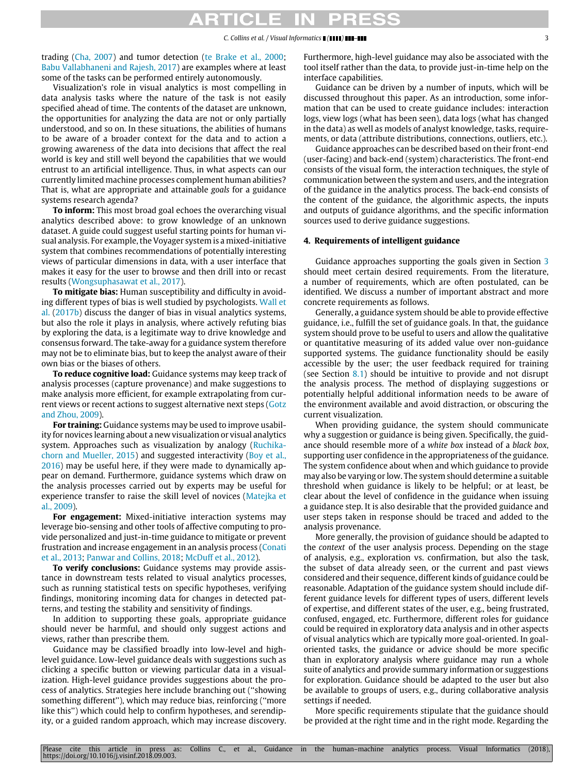trading (Cha, 2007) and tumor detection (te Brake et al., 2000; Babu Vallabhaneni and Rajesh, 2017) are examples where at least some of the tasks can be performed entirely autonomously.

Visualization's role in visual analytics is most compelling in data analysis tasks where the nature of the task is not easily specified ahead of time. The contents of the dataset are unknown, the opportunities for analyzing the data are not or only partially understood, and so on. In these situations, the abilities of humans to be aware of a broader context for the data and to action a growing awareness of the data into decisions that affect the real world is key and still well beyond the capabilities that we would entrust to an artificial intelligence. Thus, in what aspects can our currently limited machine processes complement human abilities? That is, what are appropriate and attainable *goals* for a guidance systems research agenda?

**To inform:** This most broad goal echoes the overarching visual analytics described above: to grow knowledge of an unknown dataset. A guide could suggest useful starting points for human visual analysis. For example, the Voyager system is a mixed-initiative system that combines recommendations of potentially interesting views of particular dimensions in data, with a user interface that makes it easy for the user to browse and then drill into or recast results (Wongsuphasawat et al., 2017).

**To mitigate bias:** Human susceptibility and difficulty in avoiding different types of bias is well studied by psychologists. Wall et al. (2017b) discuss the danger of bias in visual analytics systems, but also the role it plays in analysis, where actively refuting bias by exploring the data, is a legitimate way to drive knowledge and consensus forward. The take-away for a guidance system therefore may not be to eliminate bias, but to keep the analyst aware of their own bias or the biases of others.

**To reduce cognitive load:** Guidance systems may keep track of analysis processes (capture provenance) and make suggestions to make analysis more efficient, for example extrapolating from current views or recent actions to suggest alternative next steps (Gotz and Zhou, 2009).

**For training:** Guidance systems may be used to improve usability for novices learning about a new visualization or visual analytics system. Approaches such as visualization by analogy (Ruchikachorn and Mueller, 2015) and suggested interactivity (Boy et al., 2016) may be useful here, if they were made to dynamically appear on demand. Furthermore, guidance systems which draw on the analysis processes carried out by experts may be useful for experience transfer to raise the skill level of novices (Matejka et al., 2009).

**For engagement:** Mixed-initiative interaction systems may leverage bio-sensing and other tools of affective computing to provide personalized and just-in-time guidance to mitigate or prevent frustration and increase engagement in an analysis process (Conati et al., 2013; Panwar and Collins, 2018; McDuff et al., 2012).

**To verify conclusions:** Guidance systems may provide assistance in downstream tests related to visual analytics processes, such as running statistical tests on specific hypotheses, verifying findings, monitoring incoming data for changes in detected patterns, and testing the stability and sensitivity of findings.

In addition to supporting these goals, appropriate guidance should never be harmful, and should only suggest actions and views, rather than prescribe them.

Guidance may be classified broadly into low-level and highlevel guidance. Low-level guidance deals with suggestions such as clicking a specific button or viewing particular data in a visualization. High-level guidance provides suggestions about the process of analytics. Strategies here include branching out (''showing something different''), which may reduce bias, reinforcing (''more like this'') which could help to confirm hypotheses, and serendipity, or a guided random approach, which may increase discovery. Furthermore, high-level guidance may also be associated with the tool itself rather than the data, to provide just-in-time help on the interface capabilities.

Guidance can be driven by a number of inputs, which will be discussed throughout this paper. As an introduction, some information that can be used to create guidance includes: interaction logs, view logs (what has been seen), data logs (what has changed in the data) as well as models of analyst knowledge, tasks, requirements, or data (attribute distributions, connections, outliers, etc.).

Guidance approaches can be described based on their front-end (user-facing) and back-end (system) characteristics. The front-end consists of the visual form, the interaction techniques, the style of communication between the system and users, and the integration of the guidance in the analytics process. The back-end consists of the content of the guidance, the algorithmic aspects, the inputs and outputs of guidance algorithms, and the specific information sources used to derive guidance suggestions.

# **4. Requirements of intelligent guidance**

Guidance approaches supporting the goals given in Section 3 should meet certain desired requirements. From the literature, a number of requirements, which are often postulated, can be identified. We discuss a number of important abstract and more concrete requirements as follows.

Generally, a guidance system should be able to provide effective guidance, i.e., fulfill the set of guidance goals. In that, the guidance system should prove to be useful to users and allow the qualitative or quantitative measuring of its added value over non-guidance supported systems. The guidance functionality should be easily accessible by the user; the user feedback required for training (see Section 8.1) should be intuitive to provide and not disrupt the analysis process. The method of displaying suggestions or potentially helpful additional information needs to be aware of the environment available and avoid distraction, or obscuring the current visualization.

When providing guidance, the system should communicate why a suggestion or guidance is being given. Specifically, the guidance should resemble more of a *white box* instead of a *black box*, supporting user confidence in the appropriateness of the guidance. The system confidence about when and which guidance to provide may also be varying or low. The system should determine a suitable threshold when guidance is likely to be helpful; or at least, be clear about the level of confidence in the guidance when issuing a guidance step. It is also desirable that the provided guidance and user steps taken in response should be traced and added to the analysis provenance.

More generally, the provision of guidance should be adapted to the *context* of the user analysis process. Depending on the stage of analysis, e.g., exploration vs. confirmation, but also the task, the subset of data already seen, or the current and past views considered and their sequence, different kinds of guidance could be reasonable. Adaptation of the guidance system should include different guidance levels for different types of users, different levels of expertise, and different states of the user, e.g., being frustrated, confused, engaged, etc. Furthermore, different roles for guidance could be required in exploratory data analysis and in other aspects of visual analytics which are typically more goal-oriented. In goaloriented tasks, the guidance or advice should be more specific than in exploratory analysis where guidance may run a whole suite of analytics and provide summary information or suggestions for exploration. Guidance should be adapted to the user but also be available to groups of users, e.g., during collaborative analysis settings if needed.

More specific requirements stipulate that the guidance should be provided at the right time and in the right mode. Regarding the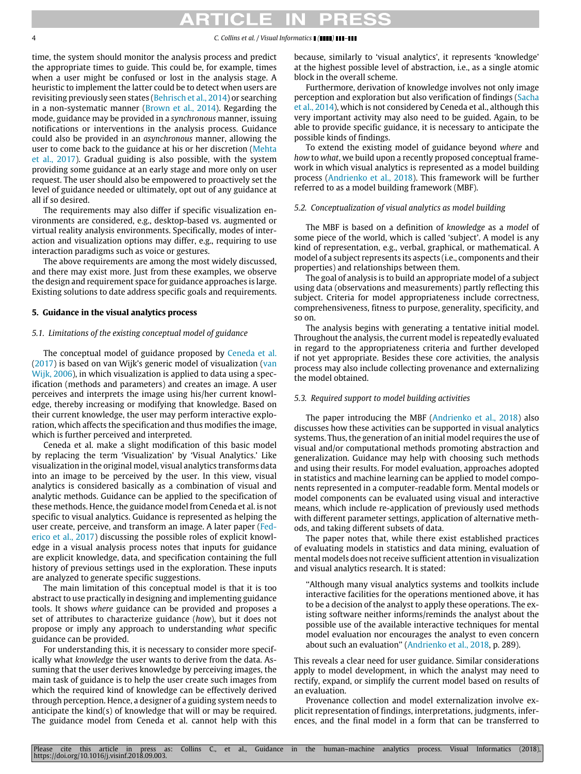time, the system should monitor the analysis process and predict the appropriate times to guide. This could be, for example, times when a user might be confused or lost in the analysis stage. A heuristic to implement the latter could be to detect when users are revisiting previously seen states (Behrisch et al., 2014) or searching in a non-systematic manner (Brown et al., 2014). Regarding the mode, guidance may be provided in a *synchronous* manner, issuing notifications or interventions in the analysis process. Guidance could also be provided in an *asynchronous* manner, allowing the user to come back to the guidance at his or her discretion (Mehta et al., 2017). Gradual guiding is also possible, with the system providing some guidance at an early stage and more only on user request. The user should also be empowered to proactively set the level of guidance needed or ultimately, opt out of any guidance at all if so desired.

The requirements may also differ if specific visualization environments are considered, e.g., desktop-based vs. augmented or virtual reality analysis environments. Specifically, modes of interaction and visualization options may differ, e.g., requiring to use interaction paradigms such as voice or gestures.

The above requirements are among the most widely discussed, and there may exist more. Just from these examples, we observe the design and requirement space for guidance approaches is large. Existing solutions to date address specific goals and requirements.

# **5. Guidance in the visual analytics process**

# *5.1. Limitations of the existing conceptual model of guidance*

The conceptual model of guidance proposed by Ceneda et al. (2017) is based on van Wijk's generic model of visualization (van Wijk, 2006), in which visualization is applied to data using a specification (methods and parameters) and creates an image. A user perceives and interprets the image using his/her current knowledge, thereby increasing or modifying that knowledge. Based on their current knowledge, the user may perform interactive exploration, which affects the specification and thus modifies the image, which is further perceived and interpreted.

Ceneda et al. make a slight modification of this basic model by replacing the term 'Visualization' by 'Visual Analytics.' Like visualization in the original model, visual analytics transforms data into an image to be perceived by the user. In this view, visual analytics is considered basically as a combination of visual and analytic methods. Guidance can be applied to the specification of these methods. Hence, the guidance model from Ceneda et al. is not specific to visual analytics. Guidance is represented as helping the user create, perceive, and transform an image. A later paper (Federico et al., 2017) discussing the possible roles of explicit knowledge in a visual analysis process notes that inputs for guidance are explicit knowledge, data, and specification containing the full history of previous settings used in the exploration. These inputs are analyzed to generate specific suggestions.

The main limitation of this conceptual model is that it is too abstract to use practically in designing and implementing guidance tools. It shows *where* guidance can be provided and proposes a set of attributes to characterize guidance (*how*), but it does not propose or imply any approach to understanding *what* specific guidance can be provided.

For understanding this, it is necessary to consider more specifically what *knowledge* the user wants to derive from the data. Assuming that the user derives knowledge by perceiving images, the main task of guidance is to help the user create such images from which the required kind of knowledge can be effectively derived through perception. Hence, a designer of a guiding system needs to anticipate the kind(s) of knowledge that will or may be required. The guidance model from Ceneda et al. cannot help with this because, similarly to 'visual analytics', it represents 'knowledge' at the highest possible level of abstraction, i.e., as a single atomic block in the overall scheme.

Furthermore, derivation of knowledge involves not only image perception and exploration but also verification of findings (Sacha et al., 2014), which is not considered by Ceneda et al., although this very important activity may also need to be guided. Again, to be able to provide specific guidance, it is necessary to anticipate the possible kinds of findings.

To extend the existing model of guidance beyond *where* and *how* to *what*, we build upon a recently proposed conceptual framework in which visual analytics is represented as a model building process (Andrienko et al., 2018). This framework will be further referred to as a model building framework (MBF).

# *5.2. Conceptualization of visual analytics as model building*

The MBF is based on a definition of *knowledge* as a *model* of some piece of the world, which is called 'subject'. A model is any kind of representation, e.g., verbal, graphical, or mathematical. A model of a subject represents its aspects (i.e., components and their properties) and relationships between them.

The goal of analysis is to build an appropriate model of a subject using data (observations and measurements) partly reflecting this subject. Criteria for model appropriateness include correctness, comprehensiveness, fitness to purpose, generality, specificity, and so on.

The analysis begins with generating a tentative initial model. Throughout the analysis, the current model is repeatedly evaluated in regard to the appropriateness criteria and further developed if not yet appropriate. Besides these core activities, the analysis process may also include collecting provenance and externalizing the model obtained.

# *5.3. Required support to model building activities*

The paper introducing the MBF (Andrienko et al., 2018) also discusses how these activities can be supported in visual analytics systems. Thus, the generation of an initial model requires the use of visual and/or computational methods promoting abstraction and generalization. Guidance may help with choosing such methods and using their results. For model evaluation, approaches adopted in statistics and machine learning can be applied to model components represented in a computer-readable form. Mental models or model components can be evaluated using visual and interactive means, which include re-application of previously used methods with different parameter settings, application of alternative methods, and taking different subsets of data.

The paper notes that, while there exist established practices of evaluating models in statistics and data mining, evaluation of mental models does not receive sufficient attention in visualization and visual analytics research. It is stated:

''Although many visual analytics systems and toolkits include interactive facilities for the operations mentioned above, it has to be a decision of the analyst to apply these operations. The existing software neither informs/reminds the analyst about the possible use of the available interactive techniques for mental model evaluation nor encourages the analyst to even concern about such an evaluation'' (Andrienko et al., 2018, p. 289).

This reveals a clear need for user guidance. Similar considerations apply to model development, in which the analyst may need to rectify, expand, or simplify the current model based on results of an evaluation.

Provenance collection and model externalization involve explicit representation of findings, interpretations, judgments, inferences, and the final model in a form that can be transferred to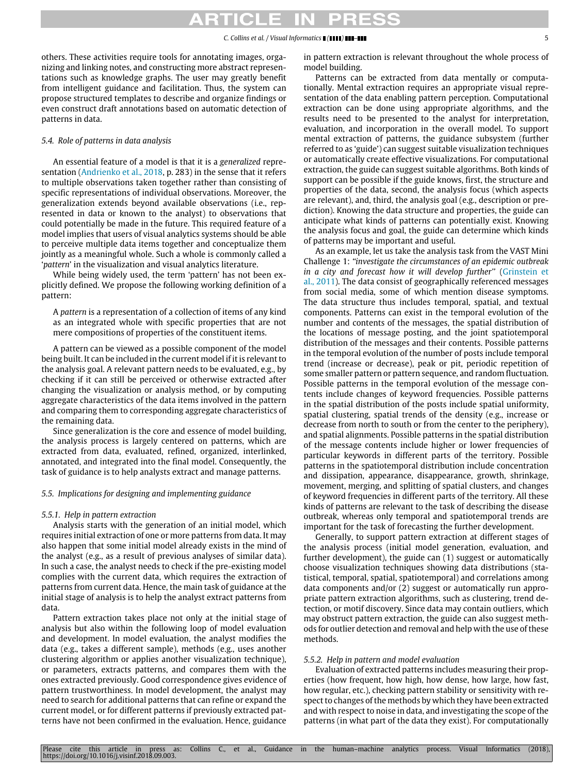others. These activities require tools for annotating images, organizing and linking notes, and constructing more abstract representations such as knowledge graphs. The user may greatly benefit from intelligent guidance and facilitation. Thus, the system can propose structured templates to describe and organize findings or even construct draft annotations based on automatic detection of patterns in data.

# *5.4. Role of patterns in data analysis*

An essential feature of a model is that it is a *generalized* representation (Andrienko et al., 2018, p. 283) in the sense that it refers to multiple observations taken together rather than consisting of specific representations of individual observations. Moreover, the generalization extends beyond available observations (i.e., represented in data or known to the analyst) to observations that could potentially be made in the future. This required feature of a model implies that users of visual analytics systems should be able to perceive multiple data items together and conceptualize them jointly as a meaningful whole. Such a whole is commonly called a '*pattern*' in the visualization and visual analytics literature.

While being widely used, the term 'pattern' has not been explicitly defined. We propose the following working definition of a pattern:

A *pattern* is a representation of a collection of items of any kind as an integrated whole with specific properties that are not mere compositions of properties of the constituent items.

A pattern can be viewed as a possible component of the model being built. It can be included in the current model if it is relevant to the analysis goal. A relevant pattern needs to be evaluated, e.g., by checking if it can still be perceived or otherwise extracted after changing the visualization or analysis method, or by computing aggregate characteristics of the data items involved in the pattern and comparing them to corresponding aggregate characteristics of the remaining data.

Since generalization is the core and essence of model building, the analysis process is largely centered on patterns, which are extracted from data, evaluated, refined, organized, interlinked, annotated, and integrated into the final model. Consequently, the task of guidance is to help analysts extract and manage patterns.

# *5.5. Implications for designing and implementing guidance*

# *5.5.1. Help in pattern extraction*

Analysis starts with the generation of an initial model, which requires initial extraction of one or more patterns from data. It may also happen that some initial model already exists in the mind of the analyst (e.g., as a result of previous analyses of similar data). In such a case, the analyst needs to check if the pre-existing model complies with the current data, which requires the extraction of patterns from current data. Hence, the main task of guidance at the initial stage of analysis is to help the analyst extract patterns from data.

Pattern extraction takes place not only at the initial stage of analysis but also within the following loop of model evaluation and development. In model evaluation, the analyst modifies the data (e.g., takes a different sample), methods (e.g., uses another clustering algorithm or applies another visualization technique), or parameters, extracts patterns, and compares them with the ones extracted previously. Good correspondence gives evidence of pattern trustworthiness. In model development, the analyst may need to search for additional patterns that can refine or expand the current model, or for different patterns if previously extracted patterns have not been confirmed in the evaluation. Hence, guidance

in pattern extraction is relevant throughout the whole process of model building.

Patterns can be extracted from data mentally or computationally. Mental extraction requires an appropriate visual representation of the data enabling pattern perception. Computational extraction can be done using appropriate algorithms, and the results need to be presented to the analyst for interpretation, evaluation, and incorporation in the overall model. To support mental extraction of patterns, the guidance subsystem (further referred to as 'guide') can suggest suitable visualization techniques or automatically create effective visualizations. For computational extraction, the guide can suggest suitable algorithms. Both kinds of support can be possible if the guide knows, first, the structure and properties of the data, second, the analysis focus (which aspects are relevant), and, third, the analysis goal (e.g., description or prediction). Knowing the data structure and properties, the guide can anticipate what kinds of patterns can potentially exist. Knowing the analysis focus and goal, the guide can determine which kinds of patterns may be important and useful.

As an example, let us take the analysis task from the VAST Mini Challenge 1: *''investigate the circumstances of an epidemic outbreak in a city and forecast how it will develop further''* (Grinstein et al., 2011). The data consist of geographically referenced messages from social media, some of which mention disease symptoms. The data structure thus includes temporal, spatial, and textual components. Patterns can exist in the temporal evolution of the number and contents of the messages, the spatial distribution of the locations of message posting, and the joint spatiotemporal distribution of the messages and their contents. Possible patterns in the temporal evolution of the number of posts include temporal trend (increase or decrease), peak or pit, periodic repetition of some smaller pattern or pattern sequence, and random fluctuation. Possible patterns in the temporal evolution of the message contents include changes of keyword frequencies. Possible patterns in the spatial distribution of the posts include spatial uniformity, spatial clustering, spatial trends of the density (e.g., increase or decrease from north to south or from the center to the periphery), and spatial alignments. Possible patterns in the spatial distribution of the message contents include higher or lower frequencies of particular keywords in different parts of the territory. Possible patterns in the spatiotemporal distribution include concentration and dissipation, appearance, disappearance, growth, shrinkage, movement, merging, and splitting of spatial clusters, and changes of keyword frequencies in different parts of the territory. All these kinds of patterns are relevant to the task of describing the disease outbreak, whereas only temporal and spatiotemporal trends are important for the task of forecasting the further development.

Generally, to support pattern extraction at different stages of the analysis process (initial model generation, evaluation, and further development), the guide can (1) suggest or automatically choose visualization techniques showing data distributions (statistical, temporal, spatial, spatiotemporal) and correlations among data components and/or (2) suggest or automatically run appropriate pattern extraction algorithms, such as clustering, trend detection, or motif discovery. Since data may contain outliers, which may obstruct pattern extraction, the guide can also suggest methods for outlier detection and removal and help with the use of these methods.

# *5.5.2. Help in pattern and model evaluation*

Evaluation of extracted patterns includes measuring their properties (how frequent, how high, how dense, how large, how fast, how regular, etc.), checking pattern stability or sensitivity with respect to changes of the methods by which they have been extracted and with respect to noise in data, and investigating the scope of the patterns (in what part of the data they exist). For computationally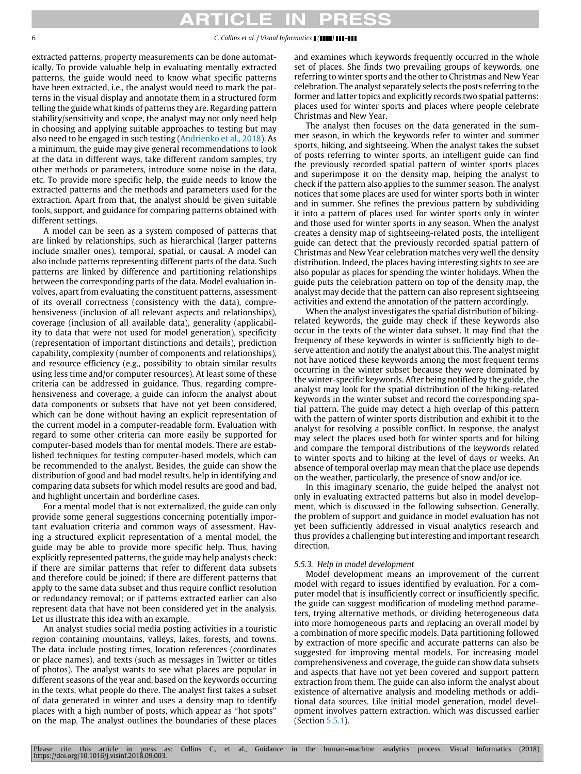extracted patterns, property measurements can be done automatically. To provide valuable help in evaluating mentally extracted patterns, the guide would need to know what specific patterns have been extracted, i.e., the analyst would need to mark the patterns in the visual display and annotate them in a structured form telling the guide what kinds of patterns they are. Regarding pattern stability/sensitivity and scope, the analyst may not only need help in choosing and applying suitable approaches to testing but may also need to be engaged in such testing (Andrienko et al., 2018). As a minimum, the guide may give general recommendations to look at the data in different ways, take different random samples, try other methods or parameters, introduce some noise in the data, etc. To provide more specific help, the guide needs to know the extracted patterns and the methods and parameters used for the extraction. Apart from that, the analyst should be given suitable tools, support, and guidance for comparing patterns obtained with different settings.

A model can be seen as a system composed of patterns that are linked by relationships, such as hierarchical (larger patterns include smaller ones), temporal, spatial, or causal. A model can also include patterns representing different parts of the data. Such patterns are linked by difference and partitioning relationships between the corresponding parts of the data. Model evaluation involves, apart from evaluating the constituent patterns, assessment of its overall correctness (consistency with the data), comprehensiveness (inclusion of all relevant aspects and relationships), coverage (inclusion of all available data), generality (applicability to data that were not used for model generation), specificity (representation of important distinctions and details), prediction capability, complexity (number of components and relationships), and resource efficiency (e.g., possibility to obtain similar results using less time and/or computer resources). At least some of these criteria can be addressed in guidance. Thus, regarding comprehensiveness and coverage, a guide can inform the analyst about data components or subsets that have not yet been considered, which can be done without having an explicit representation of the current model in a computer-readable form. Evaluation with regard to some other criteria can more easily be supported for computer-based models than for mental models. There are established techniques for testing computer-based models, which can be recommended to the analyst. Besides, the guide can show the distribution of good and bad model results, help in identifying and comparing data subsets for which model results are good and bad, and highlight uncertain and borderline cases.

For a mental model that is not externalized, the guide can only provide some general suggestions concerning potentially important evaluation criteria and common ways of assessment. Having a structured explicit representation of a mental model, the guide may be able to provide more specific help. Thus, having explicitly represented patterns, the guide may help analysts check: if there are similar patterns that refer to different data subsets and therefore could be joined; if there are different patterns that apply to the same data subset and thus require conflict resolution or redundancy removal; or if patterns extracted earlier can also represent data that have not been considered yet in the analysis. Let us illustrate this idea with an example.

An analyst studies social media posting activities in a touristic region containing mountains, valleys, lakes, forests, and towns. The data include posting times, location references (coordinates or place names), and texts (such as messages in Twitter or titles of photos). The analyst wants to see what places are popular in different seasons of the year and, based on the keywords occurring in the texts, what people do there. The analyst first takes a subset of data generated in winter and uses a density map to identify places with a high number of posts, which appear as ''hot spots'' on the map. The analyst outlines the boundaries of these places

and examines which keywords frequently occurred in the whole set of places. She finds two prevailing groups of keywords, one referring to winter sports and the other to Christmas and New Year celebration. The analyst separately selects the posts referring to the former and latter topics and explicitly records two spatial patterns: places used for winter sports and places where people celebrate Christmas and New Year.

The analyst then focuses on the data generated in the summer season, in which the keywords refer to winter and summer sports, hiking, and sightseeing. When the analyst takes the subset of posts referring to winter sports, an intelligent guide can find the previously recorded spatial pattern of winter sports places and superimpose it on the density map, helping the analyst to check if the pattern also applies to the summer season. The analyst notices that some places are used for winter sports both in winter and in summer. She refines the previous pattern by subdividing it into a pattern of places used for winter sports only in winter and those used for winter sports in any season. When the analyst creates a density map of sightseeing-related posts, the intelligent guide can detect that the previously recorded spatial pattern of Christmas and New Year celebration matches very well the density distribution. Indeed, the places having interesting sights to see are also popular as places for spending the winter holidays. When the guide puts the celebration pattern on top of the density map, the analyst may decide that the pattern can also represent sightseeing activities and extend the annotation of the pattern accordingly.

When the analyst investigates the spatial distribution of hikingrelated keywords, the guide may check if these keywords also occur in the texts of the winter data subset. It may find that the frequency of these keywords in winter is sufficiently high to deserve attention and notify the analyst about this. The analyst might not have noticed these keywords among the most frequent terms occurring in the winter subset because they were dominated by the winter-specific keywords. After being notified by the guide, the analyst may look for the spatial distribution of the hiking-related keywords in the winter subset and record the corresponding spatial pattern. The guide may detect a high overlap of this pattern with the pattern of winter sports distribution and exhibit it to the analyst for resolving a possible conflict. In response, the analyst may select the places used both for winter sports and for hiking and compare the temporal distributions of the keywords related to winter sports and to hiking at the level of days or weeks. An absence of temporal overlap may mean that the place use depends on the weather, particularly, the presence of snow and/or ice.

In this imaginary scenario, the guide helped the analyst not only in evaluating extracted patterns but also in model development, which is discussed in the following subsection. Generally, the problem of support and guidance in model evaluation has not yet been sufficiently addressed in visual analytics research and thus provides a challenging but interesting and important research direction.

# *5.5.3. Help in model development*

Model development means an improvement of the current model with regard to issues identified by evaluation. For a computer model that is insufficiently correct or insufficiently specific, the guide can suggest modification of modeling method parameters, trying alternative methods, or dividing heterogeneous data into more homogeneous parts and replacing an overall model by a combination of more specific models. Data partitioning followed by extraction of more specific and accurate patterns can also be suggested for improving mental models. For increasing model comprehensiveness and coverage, the guide can show data subsets and aspects that have not yet been covered and support pattern extraction from them. The guide can also inform the analyst about existence of alternative analysis and modeling methods or additional data sources. Like initial model generation, model development involves pattern extraction, which was discussed earlier (Section 5.5.1).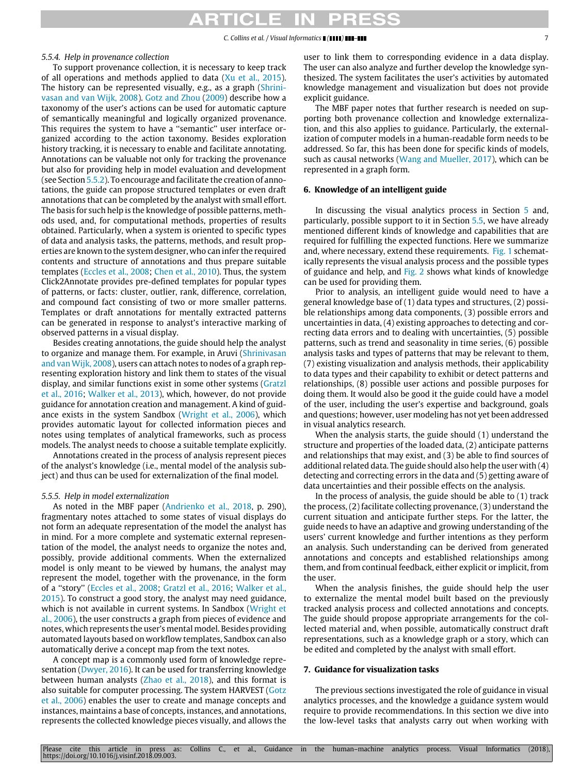# *5.5.4. Help in provenance collection*

To support provenance collection, it is necessary to keep track of all operations and methods applied to data (Xu et al., 2015). The history can be represented visually, e.g., as a graph (Shrinivasan and van Wijk, 2008). Gotz and Zhou (2009) describe how a taxonomy of the user's actions can be used for automatic capture of semantically meaningful and logically organized provenance. This requires the system to have a ''semantic'' user interface organized according to the action taxonomy. Besides exploration history tracking, it is necessary to enable and facilitate annotating. Annotations can be valuable not only for tracking the provenance but also for providing help in model evaluation and development (see Section 5.5.2). To encourage and facilitate the creation of annotations, the guide can propose structured templates or even draft annotations that can be completed by the analyst with small effort. The basis for such help is the knowledge of possible patterns, methods used, and, for computational methods, properties of results obtained. Particularly, when a system is oriented to specific types of data and analysis tasks, the patterns, methods, and result properties are known to the system designer, who can infer the required contents and structure of annotations and thus prepare suitable templates (Eccles et al., 2008; Chen et al., 2010). Thus, the system Click2Annotate provides pre-defined templates for popular types of patterns, or facts: cluster, outlier, rank, difference, correlation, and compound fact consisting of two or more smaller patterns. Templates or draft annotations for mentally extracted patterns can be generated in response to analyst's interactive marking of observed patterns in a visual display.

Besides creating annotations, the guide should help the analyst to organize and manage them. For example, in Aruvi (Shrinivasan and van Wijk, 2008), users can attach notes to nodes of a graph representing exploration history and link them to states of the visual display, and similar functions exist in some other systems (Gratzl et al., 2016; Walker et al., 2013), which, however, do not provide guidance for annotation creation and management. A kind of guidance exists in the system Sandbox (Wright et al., 2006), which provides automatic layout for collected information pieces and notes using templates of analytical frameworks, such as process models. The analyst needs to choose a suitable template explicitly.

Annotations created in the process of analysis represent pieces of the analyst's knowledge (i.e., mental model of the analysis subject) and thus can be used for externalization of the final model.

### *5.5.5. Help in model externalization*

As noted in the MBF paper (Andrienko et al., 2018, p. 290), fragmentary notes attached to some states of visual displays do not form an adequate representation of the model the analyst has in mind. For a more complete and systematic external representation of the model, the analyst needs to organize the notes and, possibly, provide additional comments. When the externalized model is only meant to be viewed by humans, the analyst may represent the model, together with the provenance, in the form of a ''story'' (Eccles et al., 2008; Gratzl et al., 2016; Walker et al., 2015). To construct a good story, the analyst may need guidance, which is not available in current systems. In Sandbox (Wright et al., 2006), the user constructs a graph from pieces of evidence and notes, which represents the user's mental model. Besides providing automated layouts based on workflow templates, Sandbox can also automatically derive a concept map from the text notes.

A concept map is a commonly used form of knowledge representation (Dwyer, 2016). It can be used for transferring knowledge between human analysts (Zhao et al., 2018), and this format is also suitable for computer processing. The system HARVEST (Gotz et al., 2006) enables the user to create and manage concepts and instances, maintains a base of concepts, instances, and annotations, represents the collected knowledge pieces visually, and allows the user to link them to corresponding evidence in a data display. The user can also analyze and further develop the knowledge synthesized. The system facilitates the user's activities by automated knowledge management and visualization but does not provide explicit guidance.

The MBF paper notes that further research is needed on supporting both provenance collection and knowledge externalization, and this also applies to guidance. Particularly, the externalization of computer models in a human-readable form needs to be addressed. So far, this has been done for specific kinds of models, such as causal networks (Wang and Mueller, 2017), which can be represented in a graph form.

# **6. Knowledge of an intelligent guide**

In discussing the visual analytics process in Section 5 and, particularly, possible support to it in Section 5.5, we have already mentioned different kinds of knowledge and capabilities that are required for fulfilling the expected functions. Here we summarize and, where necessary, extend these requirements. Fig. 1 schematically represents the visual analysis process and the possible types of guidance and help, and Fig. 2 shows what kinds of knowledge can be used for providing them.

Prior to analysis, an intelligent guide would need to have a general knowledge base of (1) data types and structures, (2) possible relationships among data components, (3) possible errors and uncertainties in data, (4) existing approaches to detecting and correcting data errors and to dealing with uncertainties, (5) possible patterns, such as trend and seasonality in time series, (6) possible analysis tasks and types of patterns that may be relevant to them, (7) existing visualization and analysis methods, their applicability to data types and their capability to exhibit or detect patterns and relationships, (8) possible user actions and possible purposes for doing them. It would also be good it the guide could have a model of the user, including the user's expertise and background, goals and questions; however, user modeling has not yet been addressed in visual analytics research.

When the analysis starts, the guide should (1) understand the structure and properties of the loaded data, (2) anticipate patterns and relationships that may exist, and (3) be able to find sources of additional related data. The guide should also help the user with (4) detecting and correcting errors in the data and (5) getting aware of data uncertainties and their possible effects on the analysis.

In the process of analysis, the guide should be able to (1) track the process, (2) facilitate collecting provenance, (3) understand the current situation and anticipate further steps. For the latter, the guide needs to have an adaptive and growing understanding of the users' current knowledge and further intentions as they perform an analysis. Such understanding can be derived from generated annotations and concepts and established relationships among them, and from continual feedback, either explicit or implicit, from the user.

When the analysis finishes, the guide should help the user to externalize the mental model built based on the previously tracked analysis process and collected annotations and concepts. The guide should propose appropriate arrangements for the collected material and, when possible, automatically construct draft representations, such as a knowledge graph or a story, which can be edited and completed by the analyst with small effort.

# **7. Guidance for visualization tasks**

The previous sections investigated the role of guidance in visual analytics processes, and the knowledge a guidance system would require to provide recommendations. In this section we dive into the low-level tasks that analysts carry out when working with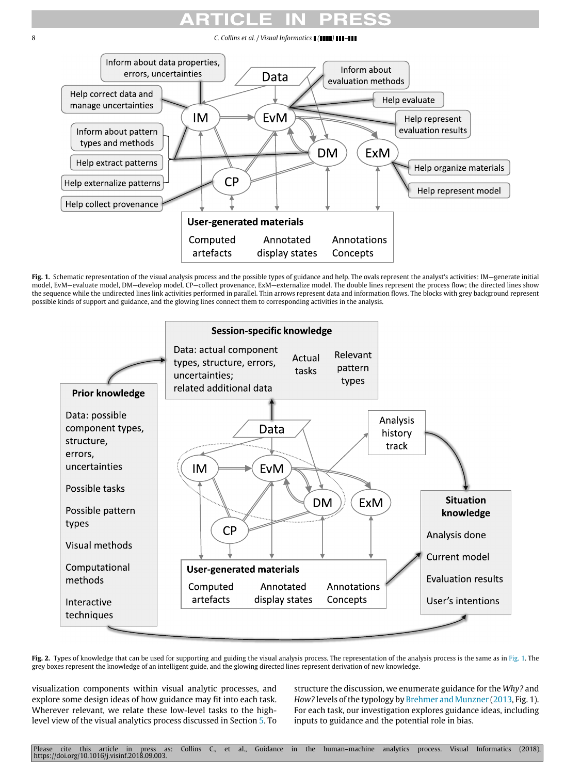

**Fig. 1.** Schematic representation of the visual analysis process and the possible types of guidance and help. The ovals represent the analyst's activities: IM—generate initial model, EvM—evaluate model, DM—develop model, CP—collect provenance, ExM—externalize model. The double lines represent the process flow; the directed lines show the sequence while the undirected lines link activities performed in parallel. Thin arrows represent data and information flows. The blocks with grey background represent possible kinds of support and guidance, and the glowing lines connect them to corresponding activities in the analysis.



**Fig. 2.** Types of knowledge that can be used for supporting and guiding the visual analysis process. The representation of the analysis process is the same as in Fig. 1. The grey boxes represent the knowledge of an intelligent guide, and the glowing directed lines represent derivation of new knowledge.

visualization components within visual analytic processes, and explore some design ideas of how guidance may fit into each task. Wherever relevant, we relate these low-level tasks to the highlevel view of the visual analytics process discussed in Section 5. To structure the discussion, we enumerate guidance for the *Why?* and *How?* levels of the typology by Brehmer and Munzner (2013, Fig. 1). For each task, our investigation explores guidance ideas, including inputs to guidance and the potential role in bias.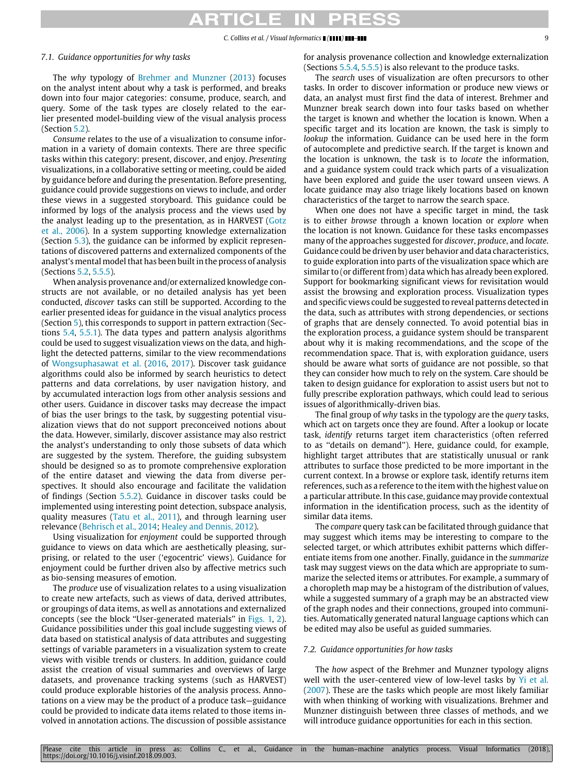# *7.1. Guidance opportunities for why tasks*

The *why* typology of Brehmer and Munzner (2013) focuses on the analyst intent about why a task is performed, and breaks down into four major categories: consume, produce, search, and query. Some of the task types are closely related to the earlier presented model-building view of the visual analysis process (Section 5.2).

*Consume* relates to the use of a visualization to consume information in a variety of domain contexts. There are three specific tasks within this category: present, discover, and enjoy. *Presenting* visualizations, in a collaborative setting or meeting, could be aided by guidance before and during the presentation. Before presenting, guidance could provide suggestions on views to include, and order these views in a suggested storyboard. This guidance could be informed by logs of the analysis process and the views used by the analyst leading up to the presentation, as in HARVEST (Gotz et al., 2006). In a system supporting knowledge externalization (Section 5.3), the guidance can be informed by explicit representations of discovered patterns and externalized components of the analyst's mental model that has been built in the process of analysis (Sections 5.2, 5.5.5).

When analysis provenance and/or externalized knowledge constructs are not available, or no detailed analysis has yet been conducted, *discover* tasks can still be supported. According to the earlier presented ideas for guidance in the visual analytics process (Section 5), this corresponds to support in pattern extraction (Sections 5.4, 5.5.1). The data types and pattern analysis algorithms could be used to suggest visualization views on the data, and highlight the detected patterns, similar to the view recommendations of Wongsuphasawat et al. (2016, 2017). Discover task guidance algorithms could also be informed by search heuristics to detect patterns and data correlations, by user navigation history, and by accumulated interaction logs from other analysis sessions and other users. Guidance in discover tasks may decrease the impact of bias the user brings to the task, by suggesting potential visualization views that do not support preconceived notions about the data. However, similarly, discover assistance may also restrict the analyst's understanding to only those subsets of data which are suggested by the system. Therefore, the guiding subsystem should be designed so as to promote comprehensive exploration of the entire dataset and viewing the data from diverse perspectives. It should also encourage and facilitate the validation of findings (Section 5.5.2). Guidance in discover tasks could be implemented using interesting point detection, subspace analysis, quality measures (Tatu et al., 2011), and through learning user relevance (Behrisch et al., 2014; Healey and Dennis, 2012).

Using visualization for *enjoyment* could be supported through guidance to views on data which are aesthetically pleasing, surprising, or related to the user ('egocentric' views). Guidance for enjoyment could be further driven also by affective metrics such as bio-sensing measures of emotion.

The *produce* use of visualization relates to a using visualization to create new artefacts, such as views of data, derived attributes, or groupings of data items, as well as annotations and externalized concepts (see the block ''User-generated materials'' in Figs. 1, 2). Guidance possibilities under this goal include suggesting views of data based on statistical analysis of data attributes and suggesting settings of variable parameters in a visualization system to create views with visible trends or clusters. In addition, guidance could assist the creation of visual summaries and overviews of large datasets, and provenance tracking systems (such as HARVEST) could produce explorable histories of the analysis process. Annotations on a view may be the product of a produce task—guidance could be provided to indicate data items related to those items involved in annotation actions. The discussion of possible assistance for analysis provenance collection and knowledge externalization (Sections 5.5.4, 5.5.5) is also relevant to the produce tasks.

The *search* uses of visualization are often precursors to other tasks. In order to discover information or produce new views or data, an analyst must first find the data of interest. Brehmer and Munzner break search down into four tasks based on whether the target is known and whether the location is known. When a specific target and its location are known, the task is simply to *lookup* the information. Guidance can be used here in the form of autocomplete and predictive search. If the target is known and the location is unknown, the task is to *locate* the information, and a guidance system could track which parts of a visualization have been explored and guide the user toward unseen views. A locate guidance may also triage likely locations based on known characteristics of the target to narrow the search space.

When one does not have a specific target in mind, the task is to either *browse* through a known location or *explore* when the location is not known. Guidance for these tasks encompasses many of the approaches suggested for *discover*, *produce*, and *locate*. Guidance could be driven by user behavior and data characteristics, to guide exploration into parts of the visualization space which are similar to (or different from) data which has already been explored. Support for bookmarking significant views for revisitation would assist the browsing and exploration process. Visualization types and specific views could be suggested to reveal patterns detected in the data, such as attributes with strong dependencies, or sections of graphs that are densely connected. To avoid potential bias in the exploration process, a guidance system should be transparent about why it is making recommendations, and the scope of the recommendation space. That is, with exploration guidance, users should be aware what sorts of guidance are not possible, so that they can consider how much to rely on the system. Care should be taken to design guidance for exploration to assist users but not to fully prescribe exploration pathways, which could lead to serious issues of algorithmically-driven bias.

The final group of *why* tasks in the typology are the *query* tasks, which act on targets once they are found. After a lookup or locate task, *identify* returns target item characteristics (often referred to as ''details on demand''). Here, guidance could, for example, highlight target attributes that are statistically unusual or rank attributes to surface those predicted to be more important in the current context. In a browse or explore task, identify returns item references, such as a reference to the item with the highest value on a particular attribute. In this case, guidance may provide contextual information in the identification process, such as the identity of similar data items.

The *compare* query task can be facilitated through guidance that may suggest which items may be interesting to compare to the selected target, or which attributes exhibit patterns which differentiate items from one another. Finally, guidance in the *summarize* task may suggest views on the data which are appropriate to summarize the selected items or attributes. For example, a summary of a choropleth map may be a histogram of the distribution of values, while a suggested summary of a graph may be an abstracted view of the graph nodes and their connections, grouped into communities. Automatically generated natural language captions which can be edited may also be useful as guided summaries.

# *7.2. Guidance opportunities for how tasks*

The *how* aspect of the Brehmer and Munzner typology aligns well with the user-centered view of low-level tasks by Yi et al. (2007). These are the tasks which people are most likely familiar with when thinking of working with visualizations. Brehmer and Munzner distinguish between three classes of methods, and we will introduce guidance opportunities for each in this section.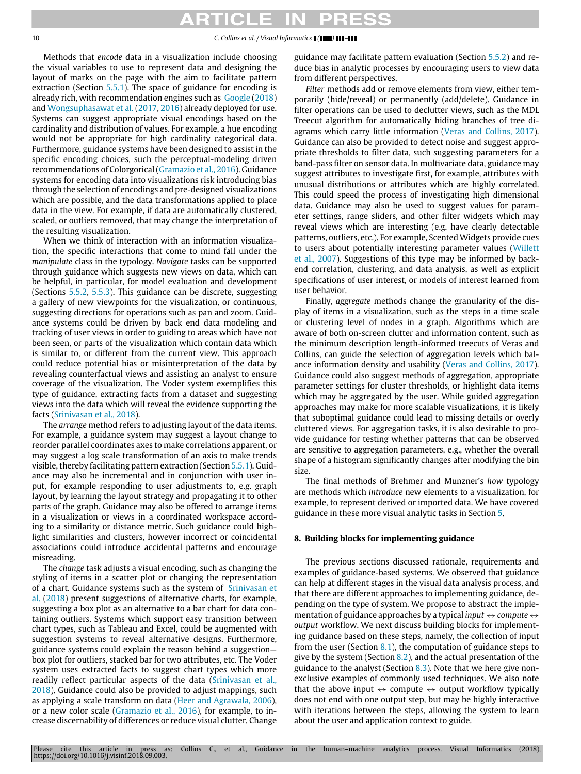Methods that *encode* data in a visualization include choosing the visual variables to use to represent data and designing the layout of marks on the page with the aim to facilitate pattern extraction (Section 5.5.1). The space of guidance for encoding is already rich, with recommendation engines such as Google (2018) and Wongsuphasawat et al. (2017, 2016) already deployed for use. Systems can suggest appropriate visual encodings based on the cardinality and distribution of values. For example, a hue encoding would not be appropriate for high cardinality categorical data. Furthermore, guidance systems have been designed to assist in the specific encoding choices, such the perceptual-modeling driven recommendations of Colorgorical (Gramazio et al., 2016). Guidance systems for encoding data into visualizations risk introducing bias through the selection of encodings and pre-designed visualizations which are possible, and the data transformations applied to place data in the view. For example, if data are automatically clustered, scaled, or outliers removed, that may change the interpretation of the resulting visualization.

When we think of interaction with an information visualization, the specific interactions that come to mind fall under the *manipulate* class in the typology. *Navigate* tasks can be supported through guidance which suggests new views on data, which can be helpful, in particular, for model evaluation and development (Sections 5.5.2, 5.5.3). This guidance can be discrete, suggesting a gallery of new viewpoints for the visualization, or continuous, suggesting directions for operations such as pan and zoom. Guidance systems could be driven by back end data modeling and tracking of user views in order to guiding to areas which have not been seen, or parts of the visualization which contain data which is similar to, or different from the current view. This approach could reduce potential bias or misinterpretation of the data by revealing counterfactual views and assisting an analyst to ensure coverage of the visualization. The Voder system exemplifies this type of guidance, extracting facts from a dataset and suggesting views into the data which will reveal the evidence supporting the facts (Srinivasan et al., 2018).

The *arrange* method refers to adjusting layout of the data items. For example, a guidance system may suggest a layout change to reorder parallel coordinates axes to make correlations apparent, or may suggest a log scale transformation of an axis to make trends visible, thereby facilitating pattern extraction (Section 5.5.1). Guidance may also be incremental and in conjunction with user input, for example responding to user adjustments to, e.g. graph layout, by learning the layout strategy and propagating it to other parts of the graph. Guidance may also be offered to arrange items in a visualization or views in a coordinated workspace according to a similarity or distance metric. Such guidance could highlight similarities and clusters, however incorrect or coincidental associations could introduce accidental patterns and encourage misreading.

The *change* task adjusts a visual encoding, such as changing the styling of items in a scatter plot or changing the representation of a chart. Guidance systems such as the system of Srinivasan et al. (2018) present suggestions of alternative charts, for example, suggesting a box plot as an alternative to a bar chart for data containing outliers. Systems which support easy transition between chart types, such as Tableau and Excel, could be augmented with suggestion systems to reveal alternative designs. Furthermore, guidance systems could explain the reason behind a suggestion box plot for outliers, stacked bar for two attributes, etc. The Voder system uses extracted facts to suggest chart types which more readily reflect particular aspects of the data (Srinivasan et al., 2018). Guidance could also be provided to adjust mappings, such as applying a scale transform on data (Heer and Agrawala, 2006), or a new color scale (Gramazio et al., 2016), for example, to increase discernability of differences or reduce visual clutter. Change

guidance may facilitate pattern evaluation (Section 5.5.2) and reduce bias in analytic processes by encouraging users to view data from different perspectives.

*Filter* methods add or remove elements from view, either temporarily (hide/reveal) or permanently (add/delete). Guidance in filter operations can be used to declutter views, such as the MDL Treecut algorithm for automatically hiding branches of tree diagrams which carry little information (Veras and Collins, 2017). Guidance can also be provided to detect noise and suggest appropriate thresholds to filter data, such suggesting parameters for a band-pass filter on sensor data. In multivariate data, guidance may suggest attributes to investigate first, for example, attributes with unusual distributions or attributes which are highly correlated. This could speed the process of investigating high dimensional data. Guidance may also be used to suggest values for parameter settings, range sliders, and other filter widgets which may reveal views which are interesting (e.g. have clearly detectable patterns, outliers, etc.). For example, Scented Widgets provide cues to users about potentially interesting parameter values (Willett et al., 2007). Suggestions of this type may be informed by backend correlation, clustering, and data analysis, as well as explicit specifications of user interest, or models of interest learned from user behavior.

Finally, *aggregate* methods change the granularity of the display of items in a visualization, such as the steps in a time scale or clustering level of nodes in a graph. Algorithms which are aware of both on-screen clutter and information content, such as the minimum description length-informed treecuts of Veras and Collins, can guide the selection of aggregation levels which balance information density and usability (Veras and Collins, 2017). Guidance could also suggest methods of aggregation, appropriate parameter settings for cluster thresholds, or highlight data items which may be aggregated by the user. While guided aggregation approaches may make for more scalable visualizations, it is likely that suboptimal guidance could lead to missing details or overly cluttered views. For aggregation tasks, it is also desirable to provide guidance for testing whether patterns that can be observed are sensitive to aggregation parameters, e.g., whether the overall shape of a histogram significantly changes after modifying the bin size.

The final methods of Brehmer and Munzner's *how* typology are methods which *introduce* new elements to a visualization, for example, to represent derived or imported data. We have covered guidance in these more visual analytic tasks in Section 5.

# **8. Building blocks for implementing guidance**

The previous sections discussed rationale, requirements and examples of guidance-based systems. We observed that guidance can help at different stages in the visual data analysis process, and that there are different approaches to implementing guidance, depending on the type of system. We propose to abstract the implementation of guidance approaches by a typical *input* ↔*compute*↔ *output* workflow. We next discuss building blocks for implementing guidance based on these steps, namely, the collection of input from the user (Section  $8.1$ ), the computation of guidance steps to give by the system (Section 8.2), and the actual presentation of the guidance to the analyst (Section 8.3). Note that we here give nonexclusive examples of commonly used techniques. We also note that the above input  $\leftrightarrow$  compute  $\leftrightarrow$  output workflow typically does not end with one output step, but may be highly interactive with iterations between the steps, allowing the system to learn about the user and application context to guide.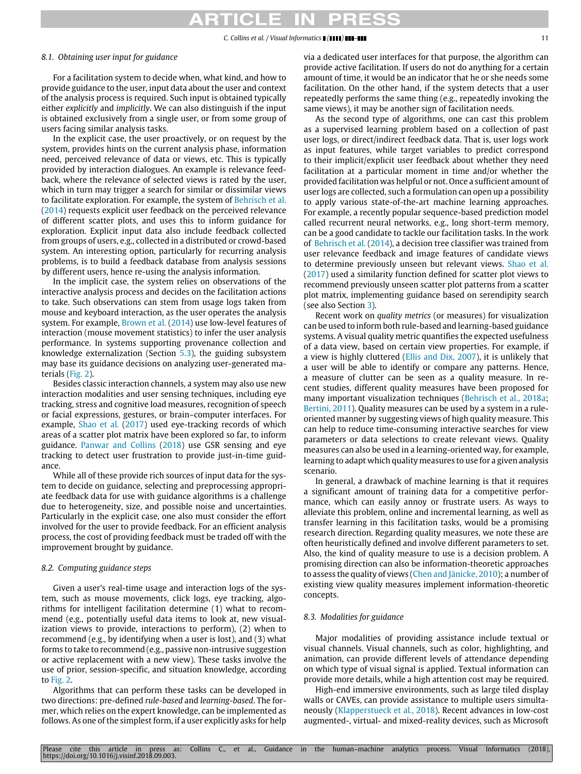# *8.1. Obtaining user input for guidance*

For a facilitation system to decide when, what kind, and how to provide guidance to the user, input data about the user and context of the analysis process is required. Such input is obtained typically either *explicitly* and *implicitly*. We can also distinguish if the input is obtained exclusively from a single user, or from some group of users facing similar analysis tasks.

In the explicit case, the user proactively, or on request by the system, provides hints on the current analysis phase, information need, perceived relevance of data or views, etc. This is typically provided by interaction dialogues. An example is relevance feedback, where the relevance of selected views is rated by the user, which in turn may trigger a search for similar or dissimilar views to facilitate exploration. For example, the system of Behrisch et al. (2014) requests explicit user feedback on the perceived relevance of different scatter plots, and uses this to inform guidance for exploration. Explicit input data also include feedback collected from groups of users, e.g., collected in a distributed or crowd-based system. An interesting option, particularly for recurring analysis problems, is to build a feedback database from analysis sessions by different users, hence re-using the analysis information.

In the implicit case, the system relies on observations of the interactive analysis process and decides on the facilitation actions to take. Such observations can stem from usage logs taken from mouse and keyboard interaction, as the user operates the analysis system. For example, Brown et al. (2014) use low-level features of interaction (mouse movement statistics) to infer the user analysis performance. In systems supporting provenance collection and knowledge externalization (Section 5.3), the guiding subsystem may base its guidance decisions on analyzing user-generated materials (Fig. 2).

Besides classic interaction channels, a system may also use new interaction modalities and user sensing techniques, including eye tracking, stress and cognitive load measures, recognition of speech or facial expressions, gestures, or brain–computer interfaces. For example, Shao et al. (2017) used eye-tracking records of which areas of a scatter plot matrix have been explored so far, to inform guidance. Panwar and Collins (2018) use GSR sensing and eye tracking to detect user frustration to provide just-in-time guidance.

While all of these provide rich sources of input data for the system to decide on guidance, selecting and preprocessing appropriate feedback data for use with guidance algorithms is a challenge due to heterogeneity, size, and possible noise and uncertainties. Particularly in the explicit case, one also must consider the effort involved for the user to provide feedback. For an efficient analysis process, the cost of providing feedback must be traded off with the improvement brought by guidance.

# *8.2. Computing guidance steps*

Given a user's real-time usage and interaction logs of the system, such as mouse movements, click logs, eye tracking, algorithms for intelligent facilitation determine (1) what to recommend (e.g., potentially useful data items to look at, new visualization views to provide, interactions to perform), (2) when to recommend (e.g., by identifying when a user is lost), and (3) what forms to take to recommend (e.g., passive non-intrusive suggestion or active replacement with a new view). These tasks involve the use of prior, session-specific, and situation knowledge, according to Fig. 2.

Algorithms that can perform these tasks can be developed in two directions: pre-defined *rule-based* and *learning-based*. The former, which relies on the expert knowledge, can be implemented as follows. As one of the simplest form, if a user explicitly asks for help via a dedicated user interfaces for that purpose, the algorithm can provide active facilitation. If users do not do anything for a certain amount of time, it would be an indicator that he or she needs some facilitation. On the other hand, if the system detects that a user repeatedly performs the same thing (e.g., repeatedly invoking the same views), it may be another sign of facilitation needs.

As the second type of algorithms, one can cast this problem as a supervised learning problem based on a collection of past user logs, or direct/indirect feedback data. That is, user logs work as input features, while target variables to predict correspond to their implicit/explicit user feedback about whether they need facilitation at a particular moment in time and/or whether the provided facilitation was helpful or not. Once a sufficient amount of user logs are collected, such a formulation can open up a possibility to apply various state-of-the-art machine learning approaches. For example, a recently popular sequence-based prediction model called recurrent neural networks, e.g., long short-term memory, can be a good candidate to tackle our facilitation tasks. In the work of Behrisch et al. (2014), a decision tree classifier was trained from user relevance feedback and image features of candidate views to determine previously unseen but relevant views. Shao et al. (2017) used a similarity function defined for scatter plot views to recommend previously unseen scatter plot patterns from a scatter plot matrix, implementing guidance based on serendipity search (see also Section 3).

Recent work on *quality metrics* (or measures) for visualization can be used to inform both rule-based and learning-based guidance systems. A visual quality metric quantifies the expected usefulness of a data view, based on certain view properties. For example, if a view is highly cluttered (Ellis and Dix, 2007), it is unlikely that a user will be able to identify or compare any patterns. Hence, a measure of clutter can be seen as a quality measure. In recent studies, different quality measures have been proposed for many important visualization techniques (Behrisch et al., 2018a; Bertini, 2011). Quality measures can be used by a system in a ruleoriented manner by suggesting views of high quality measure. This can help to reduce time-consuming interactive searches for view parameters or data selections to create relevant views. Quality measures can also be used in a learning-oriented way, for example, learning to adapt which quality measures to use for a given analysis scenario.

In general, a drawback of machine learning is that it requires a significant amount of training data for a competitive performance, which can easily annoy or frustrate users. As ways to alleviate this problem, online and incremental learning, as well as transfer learning in this facilitation tasks, would be a promising research direction. Regarding quality measures, we note these are often heuristically defined and involve different parameters to set. Also, the kind of quality measure to use is a decision problem. A promising direction can also be information-theoretic approaches to assess the quality of views (Chen and Jänicke, 2010); a number of existing view quality measures implement information-theoretic concepts.

# *8.3. Modalities for guidance*

Major modalities of providing assistance include textual or visual channels. Visual channels, such as color, highlighting, and animation, can provide different levels of attendance depending on which type of visual signal is applied. Textual information can provide more details, while a high attention cost may be required.

High-end immersive environments, such as large tiled display walls or CAVEs, can provide assistance to multiple users simultaneously (Klapperstueck et al., 2018). Recent advances in low-cost augmented-, virtual- and mixed-reality devices, such as Microsoft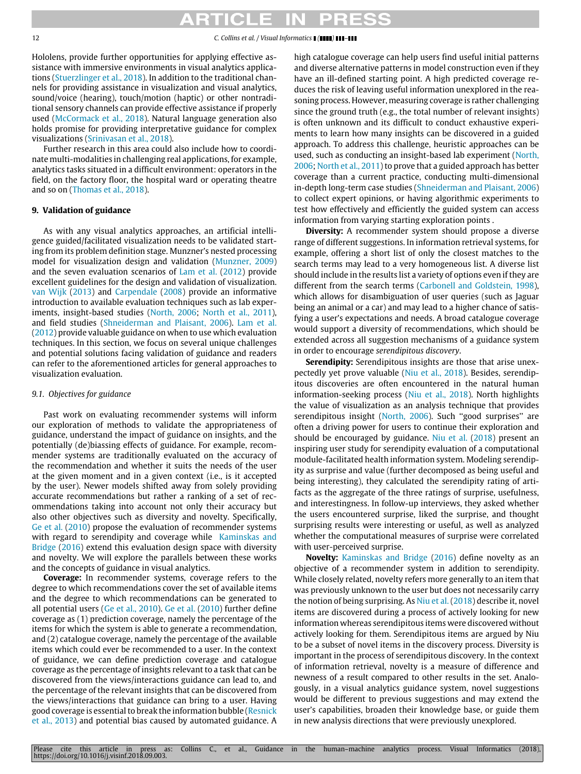Hololens, provide further opportunities for applying effective assistance with immersive environments in visual analytics applications (Stuerzlinger et al., 2018). In addition to the traditional channels for providing assistance in visualization and visual analytics, sound/voice (hearing), touch/motion (haptic) or other nontraditional sensory channels can provide effective assistance if properly used (McCormack et al., 2018). Natural language generation also holds promise for providing interpretative guidance for complex visualizations (Srinivasan et al., 2018).

Further research in this area could also include how to coordinate multi-modalities in challenging real applications, for example, analytics tasks situated in a difficult environment: operators in the field, on the factory floor, the hospital ward or operating theatre and so on (Thomas et al., 2018).

# **9. Validation of guidance**

As with any visual analytics approaches, an artificial intelligence guided/facilitated visualization needs to be validated starting from its problem definition stage. Munzner's nested processing model for visualization design and validation (Munzner, 2009) and the seven evaluation scenarios of Lam et al. (2012) provide excellent guidelines for the design and validation of visualization. van Wijk (2013) and Carpendale (2008) provide an informative introduction to available evaluation techniques such as lab experiments, insight-based studies (North, 2006; North et al., 2011), and field studies (Shneiderman and Plaisant, 2006). Lam et al. (2012) provide valuable guidance on when to use which evaluation techniques. In this section, we focus on several unique challenges and potential solutions facing validation of guidance and readers can refer to the aforementioned articles for general approaches to visualization evaluation.

# *9.1. Objectives for guidance*

Past work on evaluating recommender systems will inform our exploration of methods to validate the appropriateness of guidance, understand the impact of guidance on insights, and the potentially (de)biassing effects of guidance. For example, recommender systems are traditionally evaluated on the accuracy of the recommendation and whether it suits the needs of the user at the given moment and in a given context (i.e., is it accepted by the user). Newer models shifted away from solely providing accurate recommendations but rather a ranking of a set of recommendations taking into account not only their accuracy but also other objectives such as diversity and novelty. Specifically, Ge et al. (2010) propose the evaluation of recommender systems with regard to serendipity and coverage while Kaminskas and Bridge (2016) extend this evaluation design space with diversity and novelty. We will explore the parallels between these works and the concepts of guidance in visual analytics.

**Coverage:** In recommender systems, coverage refers to the degree to which recommendations cover the set of available items and the degree to which recommendations can be generated to all potential users (Ge et al., 2010). Ge et al. (2010) further define coverage as (1) prediction coverage, namely the percentage of the items for which the system is able to generate a recommendation, and (2) catalogue coverage, namely the percentage of the available items which could ever be recommended to a user. In the context of guidance, we can define prediction coverage and catalogue coverage as the percentage of insights relevant to a task that can be discovered from the views/interactions guidance can lead to, and the percentage of the relevant insights that can be discovered from the views/interactions that guidance can bring to a user. Having good coverage is essential to break the information bubble (Resnick et al., 2013) and potential bias caused by automated guidance. A high catalogue coverage can help users find useful initial patterns and diverse alternative patterns in model construction even if they have an ill-defined starting point. A high predicted coverage reduces the risk of leaving useful information unexplored in the reasoning process. However, measuring coverage is rather challenging since the ground truth (e.g., the total number of relevant insights) is often unknown and its difficult to conduct exhaustive experiments to learn how many insights can be discovered in a guided approach. To address this challenge, heuristic approaches can be used, such as conducting an insight-based lab experiment (North, 2006; North et al., 2011) to prove that a guided approach has better coverage than a current practice, conducting multi-dimensional in-depth long-term case studies (Shneiderman and Plaisant, 2006) to collect expert opinions, or having algorithmic experiments to test how effectively and efficiently the guided system can access information from varying starting exploration points .

**Diversity:** A recommender system should propose a diverse range of different suggestions. In information retrieval systems, for example, offering a short list of only the closest matches to the search terms may lead to a very homogeneous list. A diverse list should include in the results list a variety of options even if they are different from the search terms (Carbonell and Goldstein, 1998), which allows for disambiguation of user queries (such as Jaguar being an animal or a car) and may lead to a higher chance of satisfying a user's expectations and needs. A broad catalogue coverage would support a diversity of recommendations, which should be extended across all suggestion mechanisms of a guidance system in order to encourage *serendipitous discovery*.

**Serendipity:** Serendipitous insights are those that arise unexpectedly yet prove valuable (Niu et al., 2018). Besides, serendipitous discoveries are often encountered in the natural human information-seeking process (Niu et al., 2018). North highlights the value of visualization as an analysis technique that provides serendipitous insight (North, 2006). Such "good surprises" are often a driving power for users to continue their exploration and should be encouraged by guidance. Niu et al. (2018) present an inspiring user study for serendipity evaluation of a computational module-facilitated health information system. Modeling serendipity as surprise and value (further decomposed as being useful and being interesting), they calculated the serendipity rating of artifacts as the aggregate of the three ratings of surprise, usefulness, and interestingness. In follow-up interviews, they asked whether the users encountered surprise, liked the surprise, and thought surprising results were interesting or useful, as well as analyzed whether the computational measures of surprise were correlated with user-perceived surprise.

**Novelty:** Kaminskas and Bridge (2016) define novelty as an objective of a recommender system in addition to serendipity. While closely related, novelty refers more generally to an item that was previously unknown to the user but does not necessarily carry the notion of being surprising. As Niu et al. (2018) describe it, novel items are discovered during a process of actively looking for new information whereas serendipitous items were discovered without actively looking for them. Serendipitous items are argued by Niu to be a subset of novel items in the discovery process. Diversity is important in the process of serendipitous discovery. In the context of information retrieval, novelty is a measure of difference and newness of a result compared to other results in the set. Analogously, in a visual analytics guidance system, novel suggestions would be different to previous suggestions and may extend the user's capabilities, broaden their knowledge base, or guide them in new analysis directions that were previously unexplored.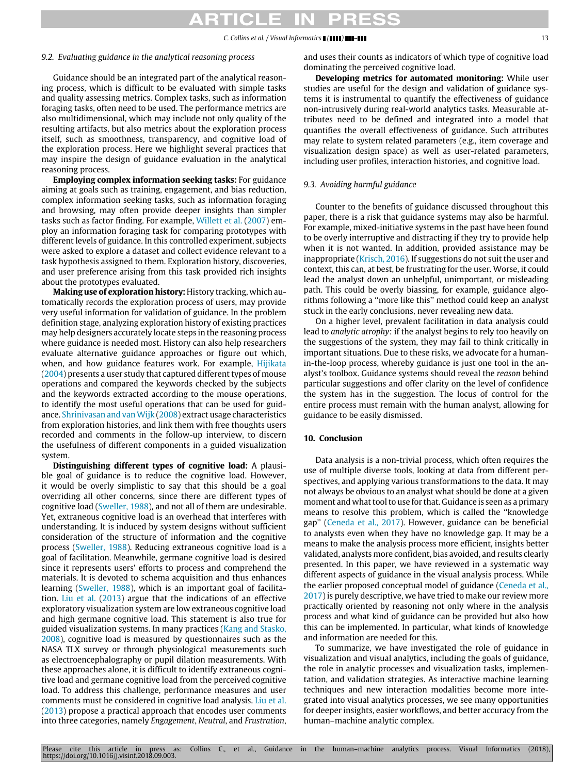# *9.2. Evaluating guidance in the analytical reasoning process*

Guidance should be an integrated part of the analytical reasoning process, which is difficult to be evaluated with simple tasks and quality assessing metrics. Complex tasks, such as information foraging tasks, often need to be used. The performance metrics are also multidimensional, which may include not only quality of the resulting artifacts, but also metrics about the exploration process itself, such as smoothness, transparency, and cognitive load of the exploration process. Here we highlight several practices that may inspire the design of guidance evaluation in the analytical reasoning process.

**Employing complex information seeking tasks:** For guidance aiming at goals such as training, engagement, and bias reduction, complex information seeking tasks, such as information foraging and browsing, may often provide deeper insights than simpler tasks such as factor finding. For example, Willett et al. (2007) employ an information foraging task for comparing prototypes with different levels of guidance. In this controlled experiment, subjects were asked to explore a dataset and collect evidence relevant to a task hypothesis assigned to them. Exploration history, discoveries, and user preference arising from this task provided rich insights about the prototypes evaluated.

**Making use of exploration history:** History tracking, which automatically records the exploration process of users, may provide very useful information for validation of guidance. In the problem definition stage, analyzing exploration history of existing practices may help designers accurately locate steps in the reasoning process where guidance is needed most. History can also help researchers evaluate alternative guidance approaches or figure out which, when, and how guidance features work. For example, Hijikata (2004) presents a user study that captured different types of mouse operations and compared the keywords checked by the subjects and the keywords extracted according to the mouse operations, to identify the most useful operations that can be used for guidance. Shrinivasan and vanWijk (2008) extract usage characteristics from exploration histories, and link them with free thoughts users recorded and comments in the follow-up interview, to discern the usefulness of different components in a guided visualization system.

**Distinguishing different types of cognitive load:** A plausible goal of guidance is to reduce the cognitive load. However, it would be overly simplistic to say that this should be a goal overriding all other concerns, since there are different types of cognitive load (Sweller, 1988), and not all of them are undesirable. Yet, extraneous cognitive load is an overhead that interferes with understanding. It is induced by system designs without sufficient consideration of the structure of information and the cognitive process (Sweller, 1988). Reducing extraneous cognitive load is a goal of facilitation. Meanwhile, germane cognitive load is desired since it represents users' efforts to process and comprehend the materials. It is devoted to schema acquisition and thus enhances learning (Sweller, 1988), which is an important goal of facilitation. Liu et al. (2013) argue that the indications of an effective exploratory visualization system are low extraneous cognitive load and high germane cognitive load. This statement is also true for guided visualization systems. In many practices (Kang and Stasko, 2008), cognitive load is measured by questionnaires such as the NASA TLX survey or through physiological measurements such as electroencephalography or pupil dilation measurements. With these approaches alone, it is difficult to identify extraneous cognitive load and germane cognitive load from the perceived cognitive load. To address this challenge, performance measures and user comments must be considered in cognitive load analysis. Liu et al. (2013) propose a practical approach that encodes user comments into three categories, namely *Engagement*, *Neutral*, and *Frustration*, and uses their counts as indicators of which type of cognitive load dominating the perceived cognitive load.

**Developing metrics for automated monitoring:** While user studies are useful for the design and validation of guidance systems it is instrumental to quantify the effectiveness of guidance non-intrusively during real-world analytics tasks. Measurable attributes need to be defined and integrated into a model that quantifies the overall effectiveness of guidance. Such attributes may relate to system related parameters (e.g., item coverage and visualization design space) as well as user-related parameters, including user profiles, interaction histories, and cognitive load.

# *9.3. Avoiding harmful guidance*

Counter to the benefits of guidance discussed throughout this paper, there is a risk that guidance systems may also be harmful. For example, mixed-initiative systems in the past have been found to be overly interruptive and distracting if they try to provide help when it is not wanted. In addition, provided assistance may be inappropriate (Krisch, 2016). If suggestions do not suit the user and context, this can, at best, be frustrating for the user. Worse, it could lead the analyst down an unhelpful, unimportant, or misleading path. This could be overly biassing, for example, guidance algorithms following a ''more like this'' method could keep an analyst stuck in the early conclusions, never revealing new data.

On a higher level, prevalent facilitation in data analysis could lead to *analytic atrophy*: if the analyst begins to rely too heavily on the suggestions of the system, they may fail to think critically in important situations. Due to these risks, we advocate for a humanin-the-loop process, whereby guidance is just one tool in the analyst's toolbox. Guidance systems should reveal the *reason* behind particular suggestions and offer clarity on the level of confidence the system has in the suggestion. The locus of control for the entire process must remain with the human analyst, allowing for guidance to be easily dismissed.

# **10. Conclusion**

Data analysis is a non-trivial process, which often requires the use of multiple diverse tools, looking at data from different perspectives, and applying various transformations to the data. It may not always be obvious to an analyst what should be done at a given moment and what tool to use for that. Guidance is seen as a primary means to resolve this problem, which is called the ''knowledge gap'' (Ceneda et al., 2017). However, guidance can be beneficial to analysts even when they have no knowledge gap. It may be a means to make the analysis process more efficient, insights better validated, analysts more confident, bias avoided, and results clearly presented. In this paper, we have reviewed in a systematic way different aspects of guidance in the visual analysis process. While the earlier proposed conceptual model of guidance (Ceneda et al., 2017) is purely descriptive, we have tried to make our review more practically oriented by reasoning not only where in the analysis process and what kind of guidance can be provided but also how this can be implemented. In particular, what kinds of knowledge and information are needed for this.

To summarize, we have investigated the role of guidance in visualization and visual analytics, including the goals of guidance, the role in analytic processes and visualization tasks, implementation, and validation strategies. As interactive machine learning techniques and new interaction modalities become more integrated into visual analytics processes, we see many opportunities for deeper insights, easier workflows, and better accuracy from the human–machine analytic complex.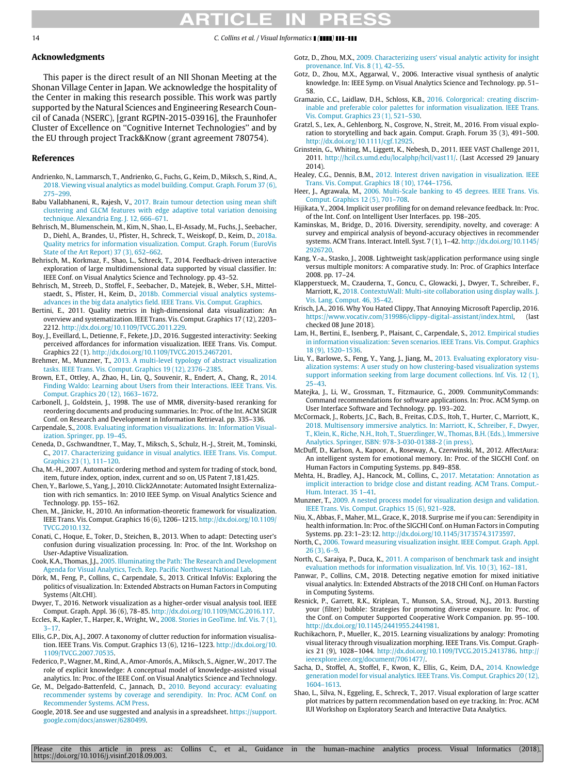# **Acknowledgments**

This paper is the direct result of an NII Shonan Meeting at the Shonan Village Center in Japan. We acknowledge the hospitality of the Center in making this research possible. This work was partly supported by the Natural Sciences and Engineering Research Council of Canada (NSERC), [grant RGPIN-2015-03916], the Fraunhofer Cluster of Excellence on ''Cognitive Internet Technologies'' and by the EU through project Track&Know (grant agreement 780754).

Œ

# **References**

- Andrienko, N., Lammarsch, T., Andrienko, G., Fuchs, G., Keim, D., Miksch, S., Rind, A., 2018. Viewing visual analytics as model building. Comput. Graph. Forum 37 (6), 275–299.
- Babu Vallabhaneni, R., Rajesh, V., 2017. Brain tumour detection using mean shift clustering and GLCM features with edge adaptive total variation denoising technique. Alexandria Eng. J. 12, 666–671.
- Behrisch, M., Blumenschein, M., Kim, N., Shao, L., El-Assady, M., Fuchs, J., Seebacher, D., Diehl, A., Brandes, U., Pfister, H., Schreck, T., Weiskopf, D., Keim, D., 2018a. Quality metrics for information visualization. Comput. Graph. Forum (EuroVis State of the Art Report) 37 (3), 652–662.
- Behrisch, M., Korkmaz, F., Shao, L., Schreck, T., 2014. Feedback-driven interactive exploration of large multidimensional data supported by visual classifier. In: IEEE Conf. on Visual Analytics Science and Technology. pp. 43–52.
- Behrisch, M., Streeb, D., Stoffel, F., Seebacher, D., Matejek, B., Weber, S.H., Mittelstaedt, S., Pfister, H., Keim, D., 2018b. Commercial visual analytics systemsadvances in the big data analytics field. IEEE Trans. Vis. Comput. Graphics.
- Bertini, E., 2011. Quality metrics in high-dimensional data visualization: An overview and systematization. IEEE Trans. Vis. Comput. Graphics 17 (12), 2203– 2212. http://dx.doi.org/10.1109/TVCG.2011.229.
- Boy, J., Eveillard, L., Detienne, F., Fekete, J.D., 2016. Suggested interactivity: Seeking perceived affordances for information visualization. IEEE Trans. Vis. Comput. Graphics 22 (1). http://dx.doi.org/10.1109/TVCG.2015.2467201.
- Brehmer, M., Munzner, T., 2013. A multi-level typology of abstract visualization tasks. IEEE Trans. Vis. Comput. Graphics 19 (12), 2376–2385.
- Brown, E.T., Ottley, A., Zhao, H., Lin, Q., Souvenir, R., Endert, A., Chang, R., 2014. Finding Waldo: Learning about Users from their Interactions. IEEE Trans. Vis. Comput. Graphics 20 (12), 1663–1672.
- Carbonell, J., Goldstein, J., 1998. The use of MMR, diversity-based reranking for reordering documents and producing summaries. In: Proc. of the Int. ACM SIGIR Conf. on Research and Development in Information Retrieval. pp. 335–336.
- Carpendale, S., 2008. Evaluating information visualizations. In: Information Visualization. Springer, pp. 19–45.
- Ceneda, D., Gschwandtner, T., May, T., Miksch, S., Schulz, H.-J., Streit, M., Tominski, C., 2017. Characterizing guidance in visual analytics. IEEE Trans. Vis. Comput. Graphics 23 (1), 111–120.
- Cha, M.-H., 2007. Automatic ordering method and system for trading of stock, bond, item, future index, option, index, current and so on, US Patent 7,181,425.
- Chen, Y., Barlowe, S., Yang, J., 2010. Click2Annotate: Automated Insight Externalization with rich semantics. In: 2010 IEEE Symp. on Visual Analytics Science and Technology. pp. 155–162.
- Chen, M., Jänicke, H., 2010. An information-theoretic framework for visualization. IEEE Trans. Vis. Comput. Graphics 16 (6), 1206–1215. http://dx.doi.org/10.1109/ TVCG.2010.132.
- Conati, C., Hoque, E., Toker, D., Steichen, B., 2013. When to adapt: Detecting user's confusion during visualization processing. In: Proc. of the Int. Workshop on User-Adaptive Visualization.
- Cook, K.A., Thomas, J.J., 2005. Illuminating the Path: The Research and Development Agenda for Visual Analytics, Tech. Rep. Pacific Northwest National Lab.
- Dörk, M., Feng, P., Collins, C., Carpendale, S., 2013. Critical InfoVis: Exploring the politics of visualization. In: Extended Abstracts on Human Factors in Computing Systems (Alt.CHI).
- Dwyer, T., 2016. Network visualization as a higher-order visual analysis tool. IEEE Comput. Graph. Appl. 36 (6), 78–85. http://dx.doi.org/10.1109/MCG.2016.117.
- Eccles, R., Kapler, T., Harper, R., Wright, W., 2008. Stories in GeoTime. Inf. Vis. 7 (1), 3–17.
- Ellis, G.P., Dix, A.J., 2007. A taxonomy of clutter reduction for information visualisation. IEEE Trans. Vis. Comput. Graphics 13 (6), 1216–1223. http://dx.doi.org/10. 1109/TVCG.2007.70535.
- Federico, P., Wagner, M., Rind, A., Amor-Amorós, A., Miksch, S., Aigner, W., 2017. The role of explicit knowledge: A conceptual model of knowledge-assisted visual analytics. In: Proc. of the IEEE Conf. on Visual Analytics Science and Technology.
- Ge, M., Delgado-Battenfeld, C., Jannach, D., 2010. Beyond accuracy: evaluating recommender systems by coverage and serendipity. In: Proc. ACM Conf. on Recommender Systems. ACM Press.
- Google, 2018. See and use suggested and analysis in a spreadsheet. https://support. google.com/docs/answer/6280499.
- Gotz, D., Zhou, M.X., 2009. Characterizing users' visual analytic activity for insight provenance. Inf. Vis. 8 (1), 42–55.
- Gotz, D., Zhou, M.X., Aggarwal, V., 2006. Interactive visual synthesis of analytic knowledge. In: IEEE Symp. on Visual Analytics Science and Technology. pp. 51– 58.
- Gramazio, C.C., Laidlaw, D.H., Schloss, K.B., 2016. Colorgorical: creating discriminable and preferable color palettes for information visualization. IEEE Trans. Vis. Comput. Graphics 23 (1), 521–530.
- Gratzl, S., Lex, A., Gehlenborg, N., Cosgrove, N., Streit, M., 2016. From visual exploration to storytelling and back again. Comput. Graph. Forum 35 (3), 491–500. http://dx.doi.org/10.1111/cgf.12925.
- Grinstein, G., Whiting, M., Liggett, K., Nebesh, D., 2011. IEEE VAST Challenge 2011, 2011. http://hcil.cs.umd.edu/localphp/hcil/vast11/. (Last Accessed 29 January 2014).
- Healey, C.G., Dennis, B.M., 2012. Interest driven navigation in visualization. IEEE Trans. Vis. Comput. Graphics 18 (10), 1744–1756.
- Heer, J., Agrawala, M., 2006. Multi-Scale banking to 45 degrees. IEEE Trans. Vis. Comput. Graphics 12 (5), 701–708.
- Hijikata, Y., 2004. Implicit user profiling for on demand relevance feedback. In: Proc. of the Int. Conf. on Intelligent User Interfaces. pp. 198–205.
- Kaminskas, M., Bridge, D., 2016. Diversity, serendipity, novelty, and coverage: A survey and empirical analysis of beyond-accuracy objectives in recommender systems. ACM Trans. Interact. Intell. Syst. 7 (1), 1–42. http://dx.doi.org/10.1145/ 2926720.
- Kang, Y.-a., Stasko, J., 2008. Lightweight task/application performance using single versus multiple monitors: A comparative study. In: Proc. of Graphics Interface 2008. pp. 17–24.
- Klapperstueck, M., Czauderna, T., Goncu, C., Glowacki, J., Dwyer, T., Schreiber, F., Marriott, K., 2018. ContextuWall: Multi-site collaboration using display walls. J. Vis. Lang. Comput. 46, 35–42.
- Krisch, J.A., 2016. Why You Hated Clippy, That Annoying Microsoft Paperclip, 2016. https://www.vocativ.com/319986/clippy-digital-assistant/index.html, (last checked 08 June 2018).
- Lam, H., Bertini, E., Isenberg, P., Plaisant, C., Carpendale, S., 2012. Empirical studies in information visualization: Seven scenarios. IEEE Trans. Vis. Comput. Graphics 18 (9), 1520–1536.
- Liu, Y., Barlowe, S., Feng, Y., Yang, J., Jiang, M., 2013. Evaluating exploratory visualization systems: A user study on how clustering-based visualization systems support information seeking from large document collections. Inf. Vis. 12 (1), 25–43.
- Matejka, J., Li, W., Grossman, T., Fitzmaurice, G., 2009. CommunityCommands: Command recommendations for software applications. In: Proc. ACM Symp. on User Interface Software and Technology. pp. 193–202.
- McCormack, J., Roberts, J.C., Bach, B., Freitas, C.D.S., Itoh, T., Hurter, C., Marriott, K., 2018. Multisensory immersive analytics. In: Marriott, K., Schreiber, F., Dwyer, T., Klein, K., Riche, N.H., Itoh, T., Stuerzlinger, W., Thomas, B.H. (Eds.), Immersive Analytics. Springer, ISBN: 978-3-030-01388-2 (in press).
- McDuff, D., Karlson, A., Kapoor, A., Roseway, A., Czerwinski, M., 2012. AffectAura: An intelligent system for emotional memory. In: Proc. of the SIGCHI Conf. on Human Factors in Computing Systems. pp. 849–858.
- Mehta, H., Bradley, A.J., Hancock, M., Collins, C., 2017. Metatation: Annotation as implicit interaction to bridge close and distant reading. ACM Trans. Comput.- Hum. Interact. 35 1–41.
- Munzner, T., 2009. A nested process model for visualization design and validation. IEEE Trans. Vis. Comput. Graphics 15 (6), 921–928.
- Niu, X., Abbas, F., Maher, M.L., Grace, K., 2018. Surprise me if you can: Serendipity in health information. In: Proc. of the SIGCHI Conf. on Human Factors in Computing Systems. pp. 23:1–23:12. http://dx.doi.org/10.1145/3173574.3173597.
- North, C., 2006. Toward measuring visualization insight. IEEE Comput. Graph. Appl. 26 (3), 6–9.
- North, C., Saraiya, P., Duca, K., 2011. A comparison of benchmark task and insight evaluation methods for information visualization. Inf. Vis. 10 (3), 162–181.
- Panwar, P., Collins, C.M., 2018. Detecting negative emotion for mixed initiative visual analytics. In: Extended Abstracts of the 2018 CHI Conf. on Human Factors in Computing Systems.
- Resnick, P., Garrett, R.K., Kriplean, T., Munson, S.A., Stroud, N.J., 2013. Bursting your (filter) bubble: Strategies for promoting diverse exposure. In: Proc. of the Conf. on Computer Supported Cooperative Work Companion. pp. 95–100. http://dx.doi.org/10.1145/2441955.2441981.
- Ruchikachorn, P., Mueller, K., 2015. Learning visualizations by analogy: Promoting visual literacy through visualization morphing. IEEE Trans. Vis. Comput. Graphics 21 (9), 1028–1044. http://dx.doi.org/10.1109/TVCG.2015.2413786. http:// ieeexplore.ieee.org/document/7061477/.
- Sacha, D., Stoffel, A., Stoffel, F., Kwon, K., Ellis, G., Keim, D.A., 2014. Knowledge generation model for visual analytics. IEEE Trans. Vis. Comput. Graphics 20 (12), 1604–1613.
- Shao, L., Silva, N., Eggeling, E., Schreck, T., 2017. Visual exploration of large scatter plot matrices by pattern recommendation based on eye tracking. In: Proc. ACM IUI Workshop on Exploratory Search and Interactive Data Analytics.